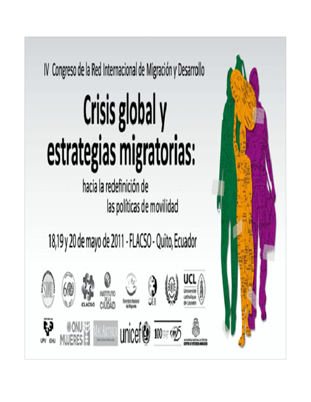

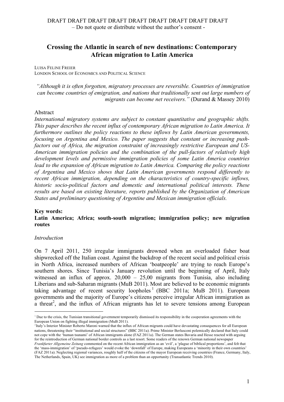# **Crossing the Atlantic in search of new destinations: Contemporary African migration to Latin America**

LUISA FELINE FREIER LONDON SCHOOL OF ECONOMICS AND POLITICAL SCIENCE

*"Although it is often forgotten, migratory processes are reversible. Countries of immigration can become countries of emigration, and nations that traditionally sent out large numbers of migrants can become net receivers."* (Durand & Massey 2010)

#### Abstract

*International migratory systems are subject to constant quantitative and geographic shifts. This paper describes the recent influx of contemporary African migration to Latin America. It furthermore outlines the policy reactions to these inflows by Latin American governments, focusing on Argentina and Mexico. The paper suggests that constant or increasing pushfactors out of Africa, the migration constraint of increasingly restrictive European and US-American immigration policies and the combination of the pull-factors of relatively high development levels and permissive immigration policies of some Latin America countries lead to the expansion of African migration to Latin America. Comparing the policy reactions of Argentina and Mexico shows that Latin American governments respond differently to recent African immigration, depending on the characteristics of country-specific inflows, historic socio-political factors and domestic and international political interests. These results are based on existing literature, reports published by the Organization of American States and preliminary questioning of Argentine and Mexican immigration officials.*

#### **Key words:**

**Latin America; Africa; south-south migration; immigration policy; new migration routes**

#### *Introduction*

On 7 April 2011, 250 irregular immigrants drowned when an overloaded fisher boat shipwrecked off the Italian coast. Against the backdrop of the recent social and political crisis in North Africa, increased numbers of African 'boatpeople' are trying to reach Europe's southern shores. Since Tunisia's January revolution until the beginning of April, Italy witnessed an influx of approx. 20,000 – 25,00 migrants from Tunisia, also including Liberians and sub-Saharan migrants (MuB 2011). Most are believed to be economic migrants taking advantage of recent security loopholes<sup>1</sup> (BBC 2011a; MuB 2011). European governments and the majority of Europe's citizens perceive irregular African immigration as a threat<sup>2</sup>, and the influx of African migrants has let to severe tensions among European

i<br>Li  $1$  Due to the crisis, the Tunisian transitional government temporarily dismissed its responsibility in the cooperation agreements with the European Union on fighting illegal immigration (MuB 2011).

<sup>2</sup>Italy's Interior Minister Roberto Maroni warned that the influx of African migrants could have devastating consequences for all European nations, threatening their "institutional and social structures" (BBC 2011a). Prime Minister Berlusconi polemically declared that Italy could not cope with the 'human tsunami' of African immigrants alone (FAZ 2011a). The German states Bavaria and Hesse reacted with arguing for the reintroduction of German national border controls as a last resort. Some readers of the renown German national newspaper *Frankfurter Allgemeine Zeitung* commented on the recent African immigration as an 'evil', a 'plague of biblical proportions', and felt that the 'mass-immigration' of 'pseudo-refugees' would evoke the 'downfall' of Europe, making Europeans a 'minority in their own countries' (FAZ 2011a). Neglecting regional variances, roughly half of the citizens of the mayor European receiving countries (France, Germany, Italy, The Netherlands, Spain, UK) see immigration as more of a problem than an opportunity (Transatlantic Trends 2010).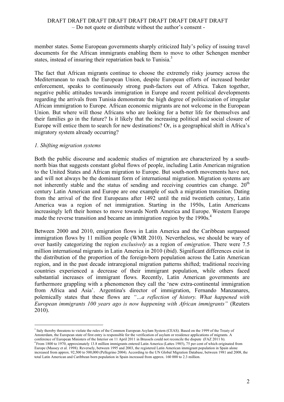member states. Some European governments sharply criticized Italy's policy of issuing travel documents for the African immigrants enabling them to move to other Schengen member states, instead of insuring their repatriation back to Tunisia.<sup>3</sup>

The fact that African migrants continue to choose the extremely risky journey across the Mediterranean to reach the European Union, despite European efforts of increased border enforcement, speaks to continuously strong push-factors out of Africa. Taken together, negative public attitudes towards immigration in Europe and recent political developments regarding the arrivals from Tunisia demonstrate the high degree of politicization of irregular African immigration to Europe. African economic migrants are not welcome in the European Union. But where will those Africans who are looking for a better life for themselves and their families go in the future? Is it likely that the increasing political and social closure of Europe will entice them to search for new destinations? Or, is a geographical shift in Africa's migratory system already occurring?

### *1. Shifting migration systems*

i<br>Li

Both the public discourse and academic studies of migration are characterized by a southnorth bias that suggests constant global flows of people, including Latin American migration to the United States and African migration to Europe. But south-north movements have not, and will not always be the dominant form of international migration. Migration systems are not inherently stable and the status of sending and receiving countries can change.  $20<sup>th</sup>$ century Latin American and Europe are one example of such a migration transition. Dating from the arrival of the first Europeans after 1492 until the mid twentieth century, Latin America was a region of net immigration. Starting in the 1950s, Latin Americans increasingly left their homes to move towards North America and Europe. Western Europe made the reverse transition and became an immigration region by the 1990s.<sup>4</sup>

Between 2000 and 2010, emigration flows in Latin America and the Caribbean surpassed immigration flows by 11 million people (WMR 2010). Nevertheless, we should be wary of over hastily categorizing the region *exclusively* as a region of *emigration*. There were 7.5 million international migrants in Latin America in 2010 (ibid). Significant differences exist in the distribution of the proportion of the foreign-born population across the Latin American region, and in the past decade intraregional migration patterns shifted; traditional receiving countries experienced a decrease of their immigrant population, while others faced substantial increases of immigrant flows. Recently, Latin American governments are furthermore grappling with a phenomenon they call the 'new extra-continental immigration from Africa and Asia'. Argentina's director of immigration, Fernando Manzanares, polemically states that these flows are *"…a reflection of history. What happened with European immigrants 100 years ago is now happening with African immigrants"* (Reuters 2010).

<sup>&</sup>lt;sup>3</sup> Italy thereby threatens to violate the rules of the Common European Asylum System (CEAS). Based on the 1999 of the Treaty of Amsterdam, the European state of first entry is responsible for the verification of asylum or residence applications of migrants. A conference of European Ministers of the Interior on 11 April 2011 in Brussels could not reconcile the dispute (FAZ 2011 b).

<sup>4</sup> From 1800 to 1970, approximately 13.8 million immigrants entered Latin America (Lattes 1985), 75 per cent of which originated from Europe (Massey et al. 1998). Reversely, between 1995 and 2003, the registered Latin American immigrant population in Spain alone increased from approx. 92,500 to 500,000 (Pellegrino 2004). According to the UN Global Migration Database, between 1981 and 2008, the total Latin American and Caribbean born population in Spain increased from approx. 160 000 to 2.3 million.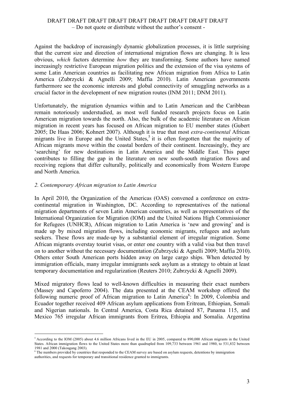Against the backdrop of increasingly dynamic globalization processes, it is little surprising that the current size and direction of international migration flows are changing. It is less obvious, *which* factors determine *how* they are transforming. Some authors have named increasingly restrictive European migration politics and the extension of the visa systems of some Latin American countries as facilitating new African migration from Africa to Latin America (Zubrzycki & Agnelli 2009; Maffia 2010). Latin American governments furthermore see the economic interests and global connectivity of smuggling networks as a crucial factor in the development of new migration routes (INM 2011; DNM 2011).

Unfortunately, the migration dynamics within and to Latin American and the Caribbean remain notoriously understudied, as most well funded research projects focus on Latin American migration towards the north. Also, the bulk of the academic literature on African migration in recent years has focused on African migration to EU member states (Gubert 2005; De Haas 2006; Kohnert 2007). Although it is true that most *extra-continental* African migrants live in Europe and the United States, <sup>5</sup> it is often forgotten that the majority of African migrants move within the coastal borders of their continent. Increasingly, they are 'searching' for new destinations in Latin America and the Middle East. This paper contributes to filling the gap in the literature on new south-south migration flows and receiving regions that differ culturally, politically and economically from Western Europe and North America.

### *2. Contemporary African migration to Latin America*

i<br>Li

In April 2010, the Organization of the Americas (OAS) convened a conference on extracontinental migration in Washington, DC. According to representatives of the national migration departments of seven Latin American countries, as well as representatives of the International Organization for Migration (IOM) and the United Nations High Commissioner for Refugees (UNHCR), African migration to Latin America is 'new and growing' and is made up by mixed migration flows, including economic migrants, refugees and asylum seekers. These flows are made-up by a substantial element of irregular migration. Some African migrants overstay tourist visas, or enter one country with a valid visa but then travel on to another without the necessary documentation (Zubrzycki & Agnelli 2009; Maffia 2010). Others enter South American ports hidden away on large cargo ships. When detected by immigration officials, many irregular immigrants seek asylum as a strategy to obtain at least temporary documentation and regularization (Reuters 2010; Zubrzycki & Agnelli 2009).

Mixed migratory flows lead to well-known difficulties in measuring their exact numbers (Massey and Capoferro 2004). The data presented at the CEAM workshop offered the following numeric proof of African migration to Latin America<sup>6</sup>: In 2009, Colombia and Ecuador together received 409 African asylum applications from Eritrean, Ethiopian, Somali and Nigerian nationals. In Central America, Costa Rica detained 87, Panama 115, and Mexico 765 irregular African immigrants from Eritrea, Ethiopia and Somalia. Argentina

<sup>5</sup> According to the IOM (2005) about 4.6 million Africans lived in the EU in 2005, compared to 890,000 African migrants in the United States. African immigration flows to the United States more than quadrupled from 109,733 between 1961 and 1980, to 531,832 between 1981 and 2000 (Takougang 2003).

<sup>6</sup> The numbers provided by countries that responded to the CEAM survey are based on asylum requests, detentions by immigration authorities, and requests for temporary and transitional residence granted to immigrants.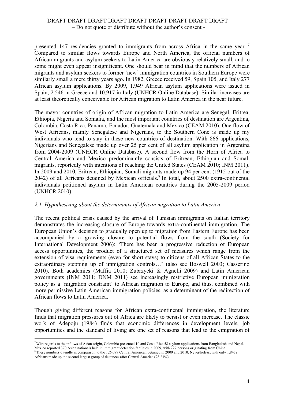presented 147 residencies granted to immigrants from across Africa in the same year.<sup>7</sup> Compared to similar flows towards Europe and North America, the official numbers of African migrants and asylum seekers to Latin America are obviously relatively small, and to some might even appear insignificant. One should bear in mind that the numbers of African migrants and asylum seekers to former 'new' immigration countries in Southern Europe were similarly small a mere thirty years ago. In 1982, Greece received 59, Spain 105, and Italy 277 African asylum applications. By 2009, 1.949 African asylum applications were issued in Spain, 2.546 in Greece and 10.917 in Italy (UNHCR Online Database). Similar increases are at least theoretically conceivable for African migration to Latin America in the near future.

The mayor countries of origin of African migration to Latin America are Senegal, Eritrea, Ethiopia, Nigeria and Somalia, and the most important countries of destination are Argentina, Colombia, Costa Rica, Panama, Ecuador, Guatemala and Mexico (CEAM 2010). One flow of West Africans, mainly Senegalese and Nigerians, to the Southern Cone is made up my individuals who tend to stay in these new countries of destination. With 866 applications, Nigerians and Senegalese made up over 25 per cent of all asylum application in Argentina from 2004-2009 (UNHCR Online Database). A second flow from the Horn of Africa to Central America and Mexico predominantly consists of Eritrean, Ethiopian and Somali migrants, reportedly with intentions of reaching the United States (CEAM 2010; INM 2011). In 2009 and 2010, Eritrean, Ethiopian, Somali migrants made up 94 per cent (1915 out of the 2042) of all Africans detained by Mexican officials. <sup>8</sup> In total, about 2500 extra-continental individuals petitioned asylum in Latin American countries during the 2005-2009 period (UNHCR 2010).

# *2.1. Hypothesizing about the determinants of African migration to Latin America*

The recent political crisis caused by the arrival of Tunisian immigrants on Italian territory demonstrates the increasing closure of Europe towards extra-continental immigration. The European Union's decision to gradually open up to migration from Eastern Europe has been accompanied by a growing closure to potential flows from the south (Society for International Development 2006): 'There has been a progressive reduction of European access opportunities, the product of a structured set of measures which range from the extension of visa requirements (even for short stays) to citizens of all African States to the extraordinary stepping up of immigration controls…' (also see Boswell 2003; Casserino 2010). Both academics (Maffia 2010; Zubrzycki & Agnelli 2009) and Latin American governments (INM 2011; DNM 2011) see increasingly restrictive European immigration policy as a 'migration constraint' to African migration to Europe, and thus, combined with more permissive Latin American immigration policies, as a determinant of the redirection of African flows to Latin America.

Though giving different reasons for African extra-continental immigration, the literature finds that migration pressures out of Africa are likely to persist or even increase. The classic work of Adepoju (1984) finds that economic differences in development levels, job opportunities and the standard of living are one set of reasons that lead to the emigration of

i

<sup>7</sup> With regards to the inflows of Asian origin, Colombia presented 10 and Costa Rica 58 asylum applications from Bangladesh and Nepal. Mexico reported 370 Asian nationals held in immigrant detention facilities in 2009, with 227 persons originating from China.

<sup>8</sup> These numbers dwindle in comparison to the 126.079 Central American detained in 2009 and 2010. Nevertheless, with only 1.84%

Africans made up the second largest group of detainees after Central America (98.23%).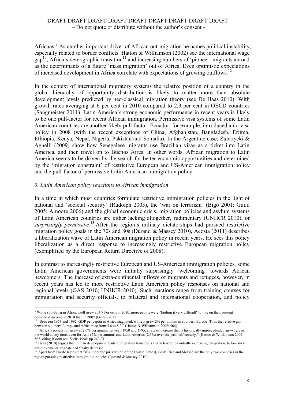Africans.<sup>9</sup> As another important driver of African out-migration he names political instability, especially related to border conflicts. Hatton & Williamson (2002) see the international wage  $gap<sup>10</sup>$ , Africa's demographic transition<sup>11</sup> and increasing numbers of 'pioneer' migrants abroad as the determinants of a future 'mass migration' out of Africa. Even optimistic expectations of increased development in Africa correlate with expectations of growing outflows.<sup>12</sup>

In the context of international migratory systems the relative position of a country in the global hierarchy of opportunity distribution is likely to matter more than absolute development levels predicted by neo-classical migration theory (see De Haas 2010). With growth rates averaging at 6 per cent in 2010 compared to 2.3 per cent in OECD countries (Sangmeister 2011), Latin America's strong economic performance in recent years is likely to be one pull-factor for recent African immigration. Permissive visa systems of some Latin American countries are another likely pull-factor. Ecuador, for example, introduced a no-visa policy in 2008 (with the recent exceptions of China, Afghanistan, Bangladesh, Eritrea, Ethiopia, Kenya, Nepal, Nigeria, Pakistan and Somalia). In the Argentine case, Zubrzycki & Agnelli (2009) show how Senegalese migrants use Brazilian visas as a ticket into Latin America, and then travel on to Buenos Aires. In other words, African migration to Latin America seems to be driven by the search for better economic opportunities and determined by the 'migration constraint' of restrictive European and US-American immigration policy and the pull-factor of permissive Latin American immigration policy.

### *3. Latin American policy reactions to African immigration*

In a time in which most countries formulate restrictive immigration policies in the light of national and 'societal security' (Rudolph 2003), the 'war on terrorism' (Bigo 2001; Guild 2005; Amoore 2006) and the global economic crisis, migration policies and asylum systems of Latin American countries are either lacking altogether, rudimentary (UNHCR 2010), or *surprisingly permissive*. <sup>13</sup> After the region's military dictatorships had pursued restrictive migration policy goals in the 70s and 80s (Durand  $\&$  Massey 2010), Acosta (2011) describes a liberalization wave of Latin American migration policy in recent years. He sees this policy liberalization as a direct response to increasingly restrictive European migration policy (exemplified by the European Return Directive of 2008).

In contrast to increasingly restrictive European and US-American immigration policies, some Latin American governments were initially surprisingly 'welcoming' towards African newcomers. The increase of extra-continental inflows of migrants and refugees, however, in recent years has led to more restrictive Latin American policy responses on national and regional levels (OAS 2010; UNHCR 2010). Such reactions range from training courses for immigration and security officials, to bilateral and international cooperation, and policy

i<br>Li <sup>9</sup> While sub-Saharan Africa itself grew at 4.7 Per cent in 2010, more people were "finding it very difficult" to live on their present household income in 2010 than in 2007 (Gallup 2011).

<sup>&</sup>lt;sup>1</sup> "Between 1973 and 1992, GDP per capita in Africa stagnated, while it grew 2% per annum in southern Europe. Thus the relative gap between southern Europe and Africa rose from 5.6 to 8.2." (Hatton & Williamson 2002: 564)

<sup>&</sup>lt;sup>11</sup> "Africa's population grew at 2.6% per annum between 1950 and 1995, a rate of increase that is historically unprecedented anywhere in the world at any time, even for Asia (2% per annum) and Latin America (2.3%) over the past half century." (Hatton & Williamson 2002: 565, citing Bloom and Sachs 1998: pp 240-7).

 $12$  Haas (2010) argues that human development leads to migration transitions characterized by initially increasing emigration, before such out-movements stagnate and finally decrease.

<sup>&</sup>lt;sup>13</sup> Apart from Puerto Rico (that falls under the jurisdiction of the United States), Costa Rica and Mexico are the only two countries in the region pursuing restrictive immigration policies (Durand & Massey 2010).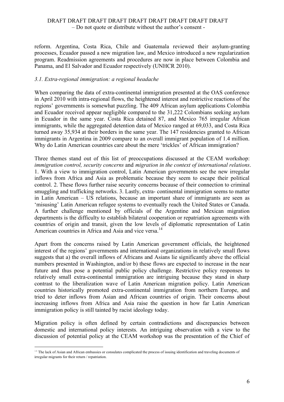reform. Argentina, Costa Rica, Chile and Guatemala reviewed their asylum-granting processes, Ecuador passed a new migration law, and Mexico introduced a new regularization program. Readmission agreements and procedures are now in place between Colombia and Panama, and El Salvador and Ecuador respectively (UNHCR 2010).

### *3.1. Extra-regional immigration: a regional headache*

When comparing the data of extra-continental immigration presented at the OAS conference in April 2010 with intra-regional flows, the heightened interest and restrictive reactions of the regions' governments is somewhat puzzling. The 409 African asylum applications Colombia and Ecuador received appear negligible compared to the 31,222 Colombians seeking asylum in Ecuador in the same year. Costa Rica detained 87, and Mexico 765 irregular African immigrants, while the aggregated detention data of Mexico ranged at 69,033, and Costa Rica turned away 35,934 at their borders in the same year. The 147 residencies granted to African immigrants in Argentina in 2009 compare to an overall immigrant population of 1.4 million. Why do Latin American countries care about the mere 'trickles' of African immigration?

Three themes stand out of this list of preoccupations discussed at the CEAM workshop: *immigration control, security concerns* and *migration in the context of international relations*. 1. With a view to immigration control, Latin American governments see the new irregular inflows from Africa and Asia as problematic because they seem to escape their political control. 2. These flows further raise security concerns because of their connection to criminal smuggling and trafficking networks. 3. Lastly, extra- continental immigration seems to matter in Latin American – US relations, because an important share of immigrants are seen as 'misusing' Latin American refugee systems to eventually reach the United States or Canada. A further challenge mentioned by officials of the Argentine and Mexican migration departments is the difficulty to establish bilateral cooperation or repatriation agreements with countries of origin and transit, given the low levels of diplomatic representation of Latin American countries in Africa and Asia and vice versa.<sup>14</sup>

Apart from the concerns raised by Latin American government officials, the heightened interest of the regions' governments and international organizations in relatively small flows suggests that a) the overall inflows of Africans and Asians lie significantly above the official numbers presented in Washington, and/or b) these flows are expected to increase in the near future and thus pose a potential public policy challenge. Restrictive policy responses to relatively small extra-continental immigration are intriguing because they stand in sharp contrast to the liberalization wave of Latin American migration policy. Latin American countries historically promoted extra-continental immigration from northern Europe, and tried to deter inflows from Asian and African countries of origin. Their concerns about increasing inflows from Africa and Asia raise the question in how far Latin American immigration policy is still tainted by racist ideology today.

Migration policy is often defined by certain contradictions and discrepancies between domestic and international policy interests. An intriguing observation with a view to the discussion of potential policy at the CEAM workshop was the presentation of the Chief of

i<br>Li <sup>14</sup> The lack of Asian and African embassies or consulates complicated the process of issuing identification and traveling documents of irregular migrants for their return / repatriation.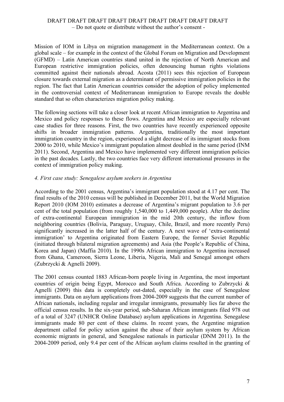Mission of IOM in Libya on migration management in the Mediterranean context. On a global scale – for example in the context of the Global Forum on Migration and Development (GFMD) – Latin American countries stand united in the rejection of North American and European restrictive immigration policies, often denouncing human rights violations committed against their nationals abroad. Acosta (2011) sees this rejection of European closure towards external migration as a determinant of permissive immigration policies in the region. The fact that Latin American countries consider the adoption of policy implemented in the controversial context of Mediterranean immigration to Europe reveals the double standard that so often characterizes migration policy making.

The following sections will take a closer look at recent African immigration to Argentina and Mexico and policy responses to these flows. Argentina and Mexico are especially relevant case studies for three reasons. First, the two countries have recently experienced opposite shifts in broader immigration patterns. Argentina, traditionally the most important immigration country in the region, experienced a slight decrease of its immigrant stocks from 2000 to 2010, while Mexico's immigrant population almost doubled in the same period (INM 2011). Second, Argentina and Mexico have implemented very different immigration policies in the past decades. Lastly, the two countries face very different international pressures in the context of immigration policy making.

#### *4. First case study: Senegalese asylum seekers in Argentina*

According to the 2001 census, Argentina's immigrant population stood at 4.17 per cent. The final results of the 2010 census will be published in December 2011, but the World Migration Report 2010 (IOM 2010) estimates a decrease of Argentina's migrant population to 3.6 per cent of the total population (from roughly 1,540,000 to 1,449,000 people). After the decline of extra-continental European immigration in the mid 20th century, the inflow from neighboring countries (Bolivia, Paraguay, Uruguay, Chile, Brazil, and more recently Peru) significantly increased in the latter half of the century. A next wave of 'extra-continental immigration' to Argentina originated from Eastern Europe, the former Soviet Republic (initiated through bilateral migration agreements) and Asia (the People's Republic of China, Korea and Japan) (Maffia 2010). In the 1990s African immigration to Argentina increased from Ghana, Cameroon, Sierra Leone, Liberia, Nigeria, Mali and Senegal amongst others (Zubrzycki & Agnelli 2009).

The 2001 census counted 1883 African-born people living in Argentina, the most important countries of origin being Egypt, Morocco and South Africa. According to Zubrzycki & Agnelli (2009) this data is completely out-dated, especially in the case of Senegalese immigrants. Data on asylum applications from 2004-2009 suggests that the current number of African nationals, including regular and irregular immigrants, presumably lies far above the official census results. In the six-year period, sub-Saharan African immigrants filed 978 out of a total of 3247 (UNHCR Online Database) asylum applications in Argentina. Senegalese immigrants made 80 per cent of these claims. In recent years, the Argentine migration department called for policy action against the abuse of their asylum system by African economic migrants in general, and Senegalese nationals in particular (DNM 2011). In the 2004-2009 period, only 9.4 per cent of the African asylum claims resulted in the granting of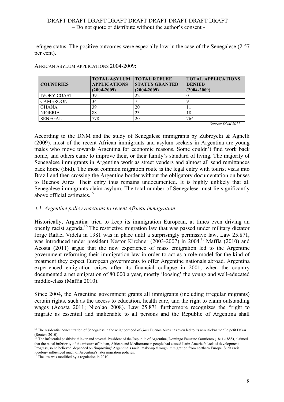refugee status. The positive outcomes were especially low in the case of the Senegalese (2.57 per cent).

| <b>COUNTRIES</b>   | <b>TOTAL ASYLUM   TOTAL REFUEE</b><br><b>APPLICATIONS</b><br>$(2004 - 2009)$ | <b>STATUS GRANTED</b><br>$(2004 - 2009)$ | <b>TOTAL APPLICATIONS</b><br><b>DENIED</b><br>$(2004 - 2009)$ |
|--------------------|------------------------------------------------------------------------------|------------------------------------------|---------------------------------------------------------------|
| <b>IVORY COAST</b> | 39                                                                           | 22                                       |                                                               |
| <b>CAMEROON</b>    | 34                                                                           |                                          |                                                               |
| <b>GHANA</b>       | 39                                                                           | 20                                       |                                                               |
| <b>NIGERIA</b>     | 88                                                                           | 23                                       | 18                                                            |
| <b>SENEGAL</b>     | 778                                                                          | 20                                       | 764<br><b><i><u>PATTERATE</u></i></b><br>$\sim$               |

AFRICAN ASYLUM APPLICATIONS 2004-2009:

*Source: DNM 2011*

According to the DNM and the study of Senegalese immigrants by Zubrzycki & Agnelli (2009), most of the recent African immigrants and asylum seekers in Argentina are young males who move towards Argentina for economic reasons. Some couldn't find work back home, and others came to improve their, or their family's standard of living. The majority of Senegalese immigrants in Argentina work as street venders and almost all send remittances back home (ibid). The most common migration route is the legal entry with tourist visas into Brazil and then crossing the Argentine border without the obligatory documentation on buses to Buenos Aires. Their entry thus remains undocumented. It is highly unlikely that all Senegalese immigrants claim asylum. The total number of Senegalese must lie significantly above official estimates. 15

# *4.1. Argentine policy reactions to recent African immigration*

Historically, Argentina tried to keep its immigration European, at times even driving an openly racist agenda. <sup>16</sup> The restrictive migration law that was passed under military dictator Jorge Rafael Videla in 1981 was in place until a surprisingly permissive law, Law 25.871, was introduced under president Néstor Kirchner (2003-2007) in 2004. <sup>17</sup> Maffia (2010) and Acosta (2011) argue that the new experience of mass emigration led to the Argentine government reforming their immigration law in order to act as a role-model for the kind of treatment they expect European governments to offer Argentine nationals abroad. Argentina experienced emigration crises after its financial collapse in 2001, when the country documented a net emigration of 80.000 a year, mostly 'loosing' the young and well-educated middle-class (Maffia 2010).

Since 2004, the Argentine government grants all immigrants (including irregular migrants) certain rights, such as the access to education, health care, and the right to claim outstanding wages (Acosta 2011; Nicolao 2008). Law 25.871 furthermore recognizes the "right to migrate as essential and inalienable to all persons and the Republic of Argentina shall

i <sup>15</sup> The residential concentration of Senegalese in the neighborhood of *Onze* Buenos Aires has even led to its new nickname 'Le petit Dakar' (Reuters 2010).

 $16$  The influential positivist thinker and seventh President of the Republic of Argentina, Domingo Faustino Sarmiento (1811-1888), claimed that the racial inferiority of the mixture of Indian, African and Mediterranean people had caused Latin America's lack of development. Progress, so he believed, depended on 'improving' Argentina's racial make-up through immigration from northern Europe. Such racial ideology influenced much of Argentina's later migration policies.

<sup>&</sup>lt;sup>17</sup> The law was modified by a regulation in 2010.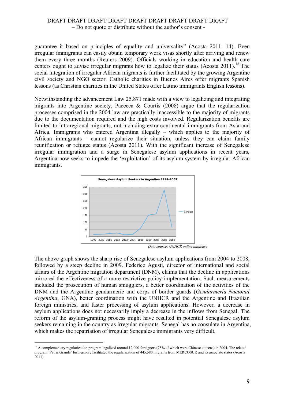guarantee it based on principles of equality and universality" (Acosta 2011: 14). Even irregular immigrants can easily obtain temporary work visas shortly after arriving and renew them every three months (Reuters 2009). Officials working in education and health care centers ought to advise irregular migrants how to legalize their status (Acosta 2011).<sup>18</sup> The social integration of irregular African migrants is further facilitated by the growing Argentine civil society and NGO sector. Catholic charities in Buenos Aires offer migrants Spanish lessons (as Christian charities in the United States offer Latino immigrants English lessons).

Notwithstanding the advancement Law 25.871 made with a view to legalizing and integrating migrants into Argentine society, Pacecca  $\&$  Courtis (2008) argue that the regularization processes comprised in the 2004 law are practically inaccessible to the majority of migrants due to the documentation required and the high costs involved. Regularization benefits are limited to intraregional migrants, not including extra-continental immigrants from Asia and Africa. Immigrants who entered Argentina illegally – which applies to the majority of African immigrants - cannot regularize their situation, unless they can claim family reunification or refugee status (Acosta 2011). With the significant increase of Senegalese irregular immigration and a surge in Senegalese asylum applications in recent years, Argentina now seeks to impede the 'exploitation' of its asylum system by irregular African immigrants.



*Data source: UNHCR online database*

The above graph shows the sharp rise of Senegalese asylum applications from 2004 to 2008, followed by a steep decline in 2009. Federico Agusti, director of international and social affairs of the Argentine migration department (DNM), claims that the decline in applications mirrored the effectiveness of a more restrictive policy implementation. Such measurements included the prosecution of human smugglers, a better coordination of the activities of the DNM and the Argentine gendarmerie and corps of border guards (*Gendarmería Nacional Argentina*, GNA), better coordination with the UNHCR and the Argentine and Brazilian foreign ministries, and faster processing of asylum applications. However, a decrease in asylum applications does not necessarily imply a decrease in the inflows from Senegal. The reform of the asylum-granting process might have resulted in potential Senegalese asylum seekers remaining in the country as irregular migrants. Senegal has no consulate in Argentina, which makes the repatriation of irregular Senegalese immigrants very difficult.

i<br>Li <sup>18</sup> A complementary regularization program legalized around 12.000 foreigners (75% of which were Chinese citizens) in 2004. The related program 'Patria Grande' furthermore facilitated the regularization of 445.580 migrants from MERCOSUR and its associate states (Acosta  $2011$ ).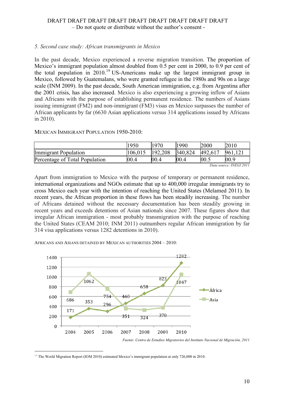# *5. Second case study: African transmigrants in Mexico*

In the past decade, Mexico experienced a reverse migration transition. The proportion of Mexico's immigrant population almost doubled from 0.5 per cent in 2000, to 0.9 per cent of the total population in  $2010$ <sup>19</sup> US-Americans make up the largest immigrant group in Mexico, followed by Guatemalans, who were granted refugee in the 1980s and 90s on a large scale (INM 2009). In the past decade, South American immigration, e.g. from Argentina after the 2001 crisis, has also increased. Mexico is also experiencing a growing inflow of Asians and Africans with the purpose of establishing permanent residence. The numbers of Asians issuing immigrant (FM2) and non-immigrant (FM3) visas en Mexico surpasses the number of African applicants by far (6630 Asian applications versus 314 applications issued by Africans in 2010).

MEXICAN IMMIGRANT POPULATION 1950-2010:

|                                | 1950    | 1970    | 1990    | 2000    | 2010    |  |
|--------------------------------|---------|---------|---------|---------|---------|--|
| <b>Immigrant Population</b>    | 106,015 | 192,208 | 340,824 | 492,617 | 961,121 |  |
| Percentage of Total Population | 00.4    | 00.4    | 00.4    | 00.5    | 00.9    |  |
| Data source: INEGI 2011        |         |         |         |         |         |  |

Apart from immigration to Mexico with the purpose of temporary or permanent residence, international organizations and NGOs estimate that up to 400,000 irregular immigrants try to cross Mexico each year with the intention of reaching the United States (Melamed 2011). In recent years, the African proportion in these flows has been steadily increasing. The number of Africans detained without the necessary documentation has been steadily growing in recent years and exceeds detentions of Asian nationals since 2007. These figures show that irregular African immigration - most probably transmigration with the purpose of reaching the United States (CEAM 2010; INM 2011) outnumbers regular African immigration by far 314 visa applications versus 1282 detentions in 2010).

AFRICANS AND ASIANS DETAINED BY MEXICAN AUTHORITIES 2004 – 2010:



i <sup>19</sup> The World Migration Report (IOM 2010) estimated Mexico's immigrant population at only 726,000 in 2010.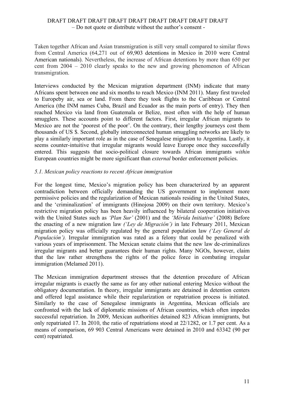Taken together African and Asian transmigration is still very small compared to similar flows from Central America (64,271 out of 69,903 detentions in Mexico in 2010 were Central American nationals). Nevertheless, the increase of African detentions by more than 650 per cent from 2004 – 2010 clearly speaks to the new and growing phenomenon of African transmigration.

Interviews conducted by the Mexican migration department (INM) indicate that many Africans spent between one and six months to reach Mexico (INM 2011). Many first traveled to Europeby air, sea or land. From there they took flights to the Caribbean or Central America (the INM names Cuba, Brazil and Ecuador as the main ports of entry). They then reached Mexico via land from Guatemala or Belize, most often with the help of human smugglers. These accounts point to different factors. First, irregular African migrants to Mexico are not the 'poorest of the poor'. On the contrary, their lengthy journeys cost them thousands of US \$. Second, globally interconnected human smuggling networks are likely to play a similarly important role as in the case of Senegalese migration to Argentina. Lastly, it seems counter-intuitive that irregular migrants would leave Europe once they successfully entered. This suggests that socio-political closure towards African immigrants *within* European countries might be more significant than *external* border enforcement policies.

### *5.1. Mexican policy reactions to recent African immigration*

For the longest time, Mexico's migration policy has been characterized by an apparent contradiction between officially demanding the US government to implement more permissive policies and the regularization of Mexican nationals residing in the United States, and the 'criminalization' of immigrants (Hinojosa 2009) on their own territory. Mexico's restrictive migration policy has been heavily influenced by bilateral cooperation initiatives with the United States such as *'Plan Sur'* (2001) and the *'Mérida Initiative'* (2008) Before the enacting of a new migration law *('Ley de Migración')* in late February 2011, Mexican migration policy was officially regulated by the general population law *('Ley General de Populación').* Irregular immigration was rated as a felony that could be penalized with various years of imprisonment. The Mexican senate claims that the new law de-criminalizes irregular migrants and better guarantees their human rights. Many NGOs, however, claim that the law rather strengthens the rights of the police force in combating irregular immigration (Melamed 2011).

The Mexican immigration department stresses that the detention procedure of African irregular migrants is exactly the same as for any other national entering Mexico without the obligatory documentation. In theory, irregular immigrants are detained in detention centers and offered legal assistance while their regularization or repatriation process is initiated. Similarly to the case of Senegalese immigrants in Argentina, Mexican officials are confronted with the lack of diplomatic missions of African countries, which often impedes successful repatriation. In 2009, Mexican authorities detained 823 African immigrants, but only repatriated 17. In 2010, the ratio of repatriations stood at 22/1282, or 1.7 per cent. As a means of comparison, 69 903 Central Americans were detained in 2010 and 63342 (90 per cent) repatriated.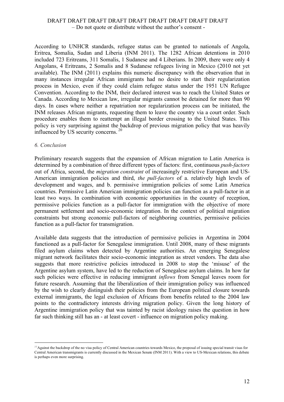According to UNHCR standards, refugee status can be granted to nationals of Angola, Eritrea, Somalia, Sudan and Liberia (INM 2011). The 1282 African detentions in 2010 included 723 Eritreans, 311 Somalis, 1 Sudanese and 4 Liberians. In 2009, there were only 4 Angolans, 4 Eritreans, 2 Somalis and 8 Sudanese refugees living in Mexico (2010 not yet available). The INM (2011) explains this numeric discrepancy with the observation that in many instances irregular African immigrants had no desire to start their regularization process in Mexico, even if they could claim refugee status under the 1951 UN Refugee Convention. According to the INM, their declared interest was to reach the United States or Canada. According to Mexican law, irregular migrants cannot be detained for more than 90 days. In cases where neither a repatriation nor regularization process can be initiated, the INM releases African migrants, requesting them to leave the country via a court order*.* Such procedure enables them to reattempt an illegal border crossing to the United States. This policy is very surprising against the backdrop of previous migration policy that was heavily influenced by US security concerns.<sup>20</sup>

#### *6. Conclusion*

i<br>Li

Preliminary research suggests that the expansion of African migration to Latin America is determined by a combination of three different types of factors: first, continuous *push-factors* out of Africa, second, the *migration constraint* of increasingly restrictive European and US-American immigration policies and third, *the pull-factors* of a. relatively high levels of development and wages, and b. permissive immigration policies of some Latin America countries. Permissive Latin American immigration policies can function as a pull-factor in at least two ways. In combination with economic opportunities in the country of reception, permissive policies function as a pull-factor for immigration with the objective of more permanent settlement and socio-economic integration. In the context of political migration constraints but strong economic pull-factors of neighboring countries, permissive policies function as a pull-factor for transmigration.

Available data suggests that the introduction of permissive policies in Argentina in 2004 functioned as a pull-factor for Senegalese immigration. Until 2008, many of these migrants filed asylum claims when detected by Argentine authorities. An emerging Senegalese migrant network facilitates their socio-economic integration as street vendors. The data also suggests that more restrictive policies introduced in 2008 to stop the 'misuse' of the Argentine asylum system, have led to the reduction of Senegalese asylum claims. In how far such policies were effective in reducing immigrant *inflows* from Senegal leaves room for future research. Assuming that the liberalization of their immigration policy was influenced by the wish to clearly distinguish their policies from the European political closure towards external immigrants, the legal exclusion of Africans from benefits related to the 2004 law points to the contradictory interests driving migration policy. Given the long history of Argentine immigration policy that was tainted by racist ideology raises the question in how far such thinking still has an - at least covert - influence on migration policy making.

 $^{20}$ Against the backdrop of the no visa policy of Central American countries towards Mexico, the proposal of issuing special transit visas for Central American transmigrants is currently discussed in the Mexican Senate (INM 2011). With a view to US-Mexican relations, this debate is perhaps even more surprising.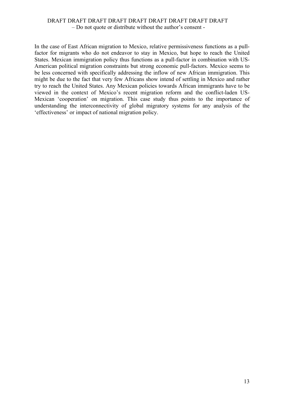In the case of East African migration to Mexico, relative permissiveness functions as a pullfactor for migrants who do not endeavor to stay in Mexico, but hope to reach the United States. Mexican immigration policy thus functions as a pull-factor in combination with US-American political migration constraints but strong economic pull-factors. Mexico seems to be less concerned with specifically addressing the inflow of new African immigration. This might be due to the fact that very few Africans show intend of settling in Mexico and rather try to reach the United States. Any Mexican policies towards African immigrants have to be viewed in the context of Mexico's recent migration reform and the conflict-laden US-Mexican 'cooperation' on migration. This case study thus points to the importance of understanding the interconnectivity of global migratory systems for any analysis of the 'effectiveness' or impact of national migration policy.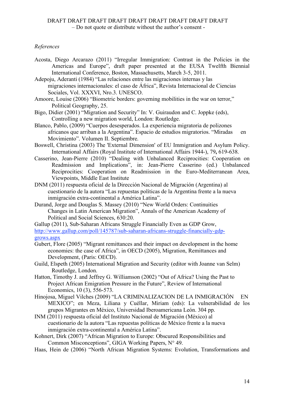# *References*

- Acosta, Diego Arcarazo (2011) "Irregular Immigration: Contrast in the Policies in the Americas and Europe", draft paper presented at the EUSA Twelfth Biennial International Conference, Boston, Massachusetts, March 3-5, 2011.
- Adepoju, Aderanti (1984) "Las relaciones entre las migraciones internas y las migraciones internacionales: el caso de África", Revista Internacional de Ciencias Sociales, Vol. XXXVI, Nro.3. UNESCO.
- Amoore, Louise (2006) "Biometric borders: governing mobilities in the war on terror," Political Geography, 25.
- Bigo, Didier (2001) "Migration and Security" In: V. Guiraudon and C. Joppke (eds), Controlling a new migration world, London: Routledge.
- Blanco, Pablo, (2009) "Cuerpos desesperados. La experiencia migratoria de polizones africanos que arriban a la Argentina". Espacio de estudios migratorios. "Miradas en Movimiento". Volumen II. Septiembre.
- Boswell, Christina (2003) The 'External Dimension' of EU Immigration and Asylum Policy. International Affairs (Royal Institute of International Affairs 1944-), 79**,** 619-638.
- Casserino, Jean-Pierre (2010) "Dealing with Unbalanced Reciprocities: Cooperation on Readmission and Implications", in: Jean-Pierre Casserino (ed.) Unbalanced Reciprocities: Cooperation on Readmission in the Euro-Mediterranean Area, Viewpoints, Middle East Institute
- DNM (2011) respuesta oficial de la Dirección Nacional de Migración (Argentina) al cuestionario de la autora "Las repuestas políticas de la Argentina frente a la nueva inmigración extra-continental a América Latina".
- Durand, Jorge and Douglas S. Massey (2010) "New World Orders: Continuities Changes in Latin American Migration", Annals of the American Academy of Political and Social Sciences, 630:20.
- Gallup (2011), Sub-Saharan Africans Struggle Financially Even as GDP Grow, http://www.gallup.com/poll/145787/sub-saharan-africans-struggle-financially-gdpgrows.aspx
- Gubert, Flore (2005) "Migrant remittances and their impact on development in the home economies: the case of Africa", in OECD (2005), Migration, Remittances and Development, (Paris: OECD).
- Guild, Elspeth (2005) International Migration and Security (editor with Joanne van Selm) Routledge, London.
- Hatton, Timothy J. and Jeffrey G. Williamson (2002) "Out of Africa? Using the Past to Project African Emigration Pressure in the Future", Review of International Economics, 10 (3), 556-573.
- Hinojosa, Miguel Vilches (2009) "LA CRIMINALIZACION DE LA INMIGRACIÓN EN MEXICO"; en Meza, Liliana y Cuéllar, Miriam (eds): La vulnerabilidad de los grupos Migrantes en México, Universidad Iberoamericana León. 304 pp.
- INM (2011) respuesta oficial del Instituto Nacional de Migración (México) al cuestionario de la autora "Las repuestas políticas de México frente a la nueva inmigración extra-continental a América Latina".
- Kohnert, Dirk (2007) "African Migration to Europe: Obscured Responsibilities and Common Misconceptions", GIGA Working Papers, N° 49.
- Haas, Hein de (2006) "North African Migration Systems: Evolution, Transformations and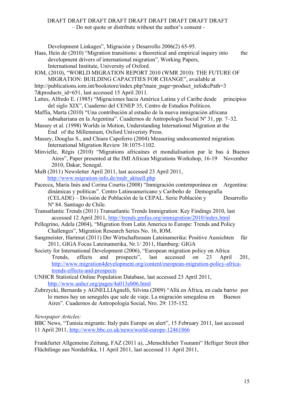Development Linkages", Migración y Desarrollo 2006(2) 65-95.

- Haas, Hein de (2010) "Migration transitions: a theoretical and empirical inquiry into the development drivers of international migration", Working Papers, International Institute, University of Oxford.
- IOM, (2010), "WORLD MIGRATION REPORT 2010 (WMR 2010): THE FUTURE OF MIGRATION: BUILDING CAPACITIES FOR CHANGE", available at
- http://publications.iom.int/bookstore/index.php?main\_page=product\_info&cPath=3
- 7&products id=651, last accessed 15 April 2011.
- Lattes, Alfredo E. (1985) "Migraciones hacia América Latina y el Caribe desde principios del siglo XIX", Cuaderno del CENEP 35, Centro de Estudios Políticos.
- Maffia, Marta (2010) "Una contribución al estudio de la nueva inmigración africana subsahariana en la Argentina". Cuadernos de Antropología Social Nº 31, pp. 7–32.
- Massey et al. (1998) Worlds in Motion, Understanding International Migration at the End of the Millennium, Oxford Univeristy Press.
- Massey, Douglas S., and Chiara Capoferro (2004) Measuring undocumented migration. International Migration Review 38:1075-1102.
- Minvielle, Régis (2010) "Migrations africaines et mondialisation par le bas à Buenos Aires", Paper presented at the IMI African Migrations Workshop, 16-19 November 2010, Dakar, Senegal.
- MuB (2011) Newsletter April 2011, last accessed 23 April 2011, http://www.migration-info.de/mub\_aktuell.php
- Pacecca, María Inés and Corina Courtis (2008) "Inmigración contemporánea en Argentina: dinámicas y políticas". Centro Latinoamericano y Caribeño de Demografía (CELADE) – División de Población de la CEPAL. Serie Población y Desarrollo Nº 84. Santiago de Chile.
- Transatlantic Trends (2011) Transatlantic Trends Immigration: Key Findings 2010, last accessed 12 April 2011, http://trends.gmfus.org/immigration/2010/index.html
- Pellegrino, Adela (2004), "Migration from Latin America to Europe: Trends and Policy Challenges", Migration Research Series No. 16, IOM.
- Sangmeister, Hartmut (2011) Der Wirtschaftsraum Lateinamerika: Positive Aussichten für 2011, GIGA Focus Lateinamerika, Nr.1/ 2011, Hamburg: GIGA
- Society for International Development (2006), "European migration policy on Africa Trends, effects and prospects", last accessed on 23 April 201, http://www.migration4development.org/content/european-migration-policy-africatrends-effects-and-prospects
- UNHCR Statistical Online Population Database, last accessed 23 April 2011, http://www.unhcr.org/pages/4a013eb06.html
- Zubrzycki, Bernarda y AGNELLIAgnelli, Silvina (2009) "Allá en África, en cada barrio por lo menos hay un senegalés que sale de viaje. La migración senegalesa en Buenos Aires". Cuadernos de Antropología Social, Nro. 29: 135-152.

*Newspaper Articles:*

BBC News, "Tunisia migrants: Italy puts Europe on alert", 15 February 2011, last accessed 11 April 2011, http://www.bbc.co.uk/news/world-europe-12461866

Frankfurter Allgemeine Zeitung, FAZ (2011 a), "Menschlicher Tsunami" Heftiger Streit über Flüchtlinge aus Nordafrika, 11 April 2011, last accessed 11 April 2011,